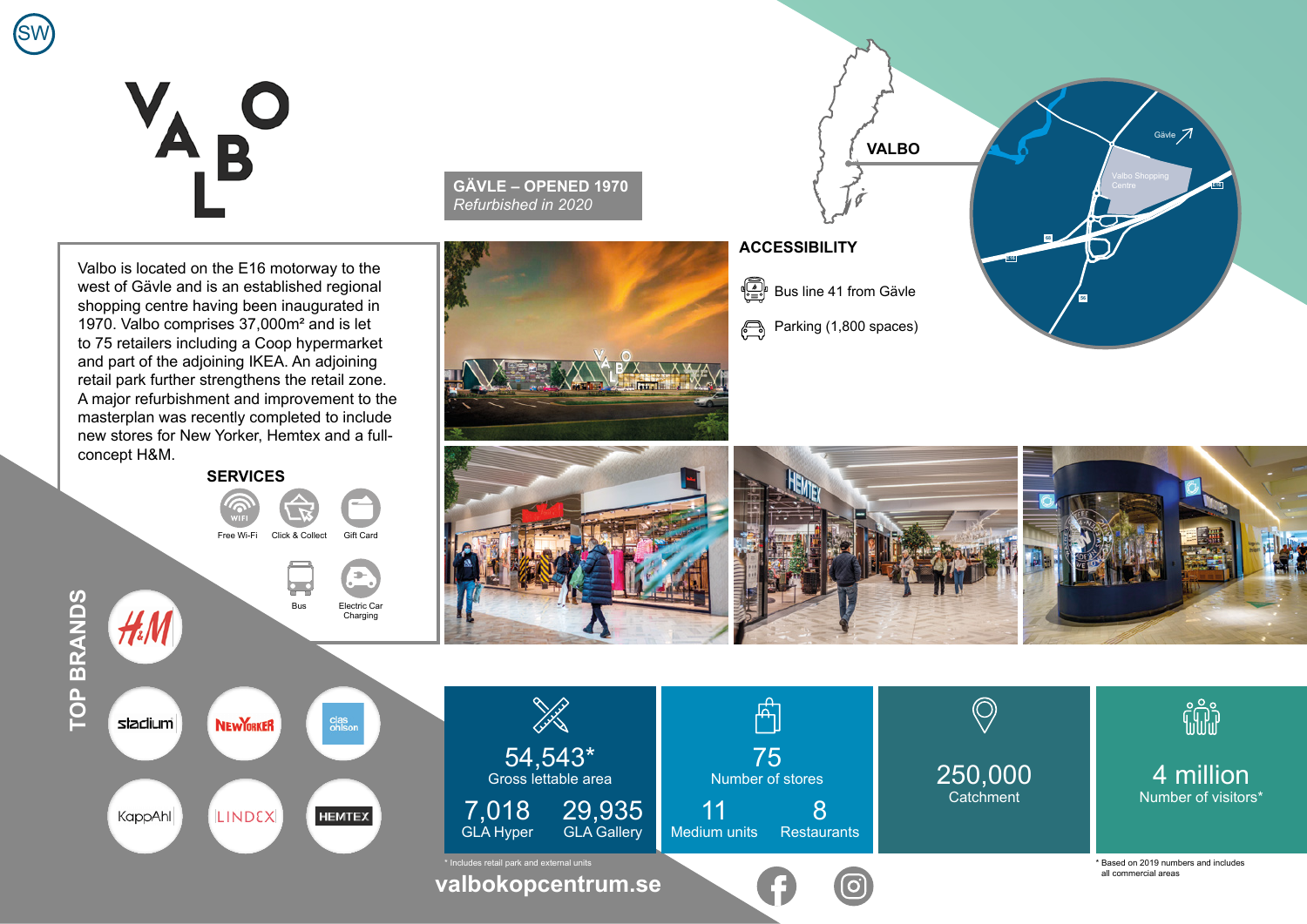## B

SW

Valbo is located on the E16 motorway to the west of Gävle and is an established regional shopping centre having been inaugurated in 1970. Valbo comprises 37,000m² and is let to 75 retailers including a Coop hypermarket and part of the adjoining IKEA. An adjoining retail park further strengthens the retail zone. A major refurbishment and improvement to the masterplan was recently completed to include new stores for New Yorker, Hemtex and a fullconcept H&M. **SERVICES**

 $H<sub>4</sub>$ 

Free Wi-Fi Click & Collect Gift Card

Bus Electric Car Charging

 $\frac{1}{2} \frac{1}{2} \frac{1}{2} \frac{1}{2} \frac{1}{2} \frac{1}{2} \frac{1}{2} \frac{1}{2} \frac{1}{2} \frac{1}{2} \frac{1}{2} \frac{1}{2} \frac{1}{2} \frac{1}{2} \frac{1}{2} \frac{1}{2} \frac{1}{2} \frac{1}{2} \frac{1}{2} \frac{1}{2} \frac{1}{2} \frac{1}{2} \frac{1}{2} \frac{1}{2} \frac{1}{2} \frac{1}{2} \frac{1}{2} \frac{1}{2} \frac{1}{2} \frac{1}{2} \frac{1}{2} \frac{$ 

**GÄVLE – OPENED 1970** *Refurbished in 2020*



## **ACCESSIBILITY**

€ Bus line 41 from Gävle Parking (1,800 spaces)  $\bigoplus$ 

**VALBO**

**E16**

**68**

**56**

**E16**

Gävle 7